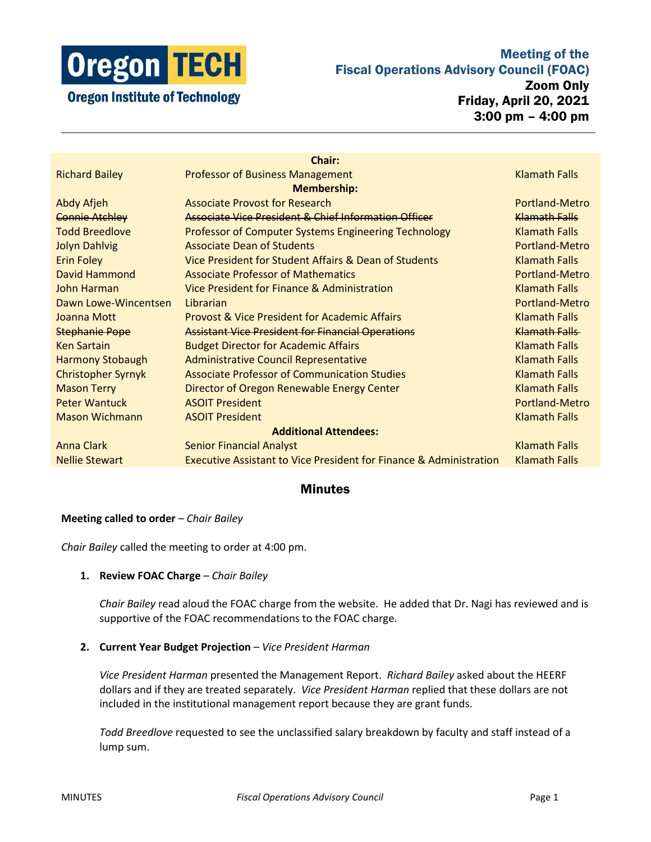

# Meeting of the Fiscal Operations Advisory Council (FOAC)

Zoom Only Friday, April 20, 2021 3:00 pm – 4:00 pm

| <b>Chair:</b>                |                                                                               |                      |
|------------------------------|-------------------------------------------------------------------------------|----------------------|
| <b>Richard Bailey</b>        | <b>Professor of Business Management</b>                                       | <b>Klamath Falls</b> |
| <b>Membership:</b>           |                                                                               |                      |
| <b>Abdy Afjeh</b>            | <b>Associate Provost for Research</b>                                         | Portland-Metro       |
| <b>Connie Atchley</b>        | Associate Vice President & Chief Information Officer                          | <b>Klamath Falls</b> |
| <b>Todd Breedlove</b>        | Professor of Computer Systems Engineering Technology                          | <b>Klamath Falls</b> |
| <b>Jolyn Dahlvig</b>         | <b>Associate Dean of Students</b>                                             | Portland-Metro       |
| <b>Erin Foley</b>            | Vice President for Student Affairs & Dean of Students                         | <b>Klamath Falls</b> |
| David Hammond                | <b>Associate Professor of Mathematics</b>                                     | Portland-Metro       |
| John Harman                  | Vice President for Finance & Administration                                   | <b>Klamath Falls</b> |
| Dawn Lowe-Wincentsen         | Librarian                                                                     | Portland-Metro       |
| Joanna Mott                  | <b>Provost &amp; Vice President for Academic Affairs</b>                      | <b>Klamath Falls</b> |
| <b>Stephanie Pope</b>        | <b>Assistant Vice President for Financial Operations</b>                      | Klamath Falls        |
| <b>Ken Sartain</b>           | <b>Budget Director for Academic Affairs</b>                                   | <b>Klamath Falls</b> |
| <b>Harmony Stobaugh</b>      | <b>Administrative Council Representative</b>                                  | <b>Klamath Falls</b> |
| <b>Christopher Syrnyk</b>    | <b>Associate Professor of Communication Studies</b>                           | <b>Klamath Falls</b> |
| <b>Mason Terry</b>           | Director of Oregon Renewable Energy Center                                    | <b>Klamath Falls</b> |
| <b>Peter Wantuck</b>         | <b>ASOIT President</b>                                                        | Portland-Metro       |
| <b>Mason Wichmann</b>        | <b>ASOIT President</b>                                                        | <b>Klamath Falls</b> |
| <b>Additional Attendees:</b> |                                                                               |                      |
| <b>Anna Clark</b>            | <b>Senior Financial Analyst</b>                                               | <b>Klamath Falls</b> |
| <b>Nellie Stewart</b>        | <b>Executive Assistant to Vice President for Finance &amp; Administration</b> | <b>Klamath Falls</b> |

# Minutes

# **Meeting called to order** – *Chair Bailey*

*Chair Bailey* called the meeting to order at 4:00 pm.

## **1. Review FOAC Charge** – *Chair Bailey*

*Chair Bailey* read aloud the FOAC charge from the website. He added that Dr. Nagi has reviewed and is supportive of the FOAC recommendations to the FOAC charge.

## **2. Current Year Budget Projection** – *Vice President Harman*

*Vice President Harman* presented the Management Report. *Richard Bailey* asked about the HEERF dollars and if they are treated separately. *Vice President Harman* replied that these dollars are not included in the institutional management report because they are grant funds.

*Todd Breedlove* requested to see the unclassified salary breakdown by faculty and staff instead of a lump sum.